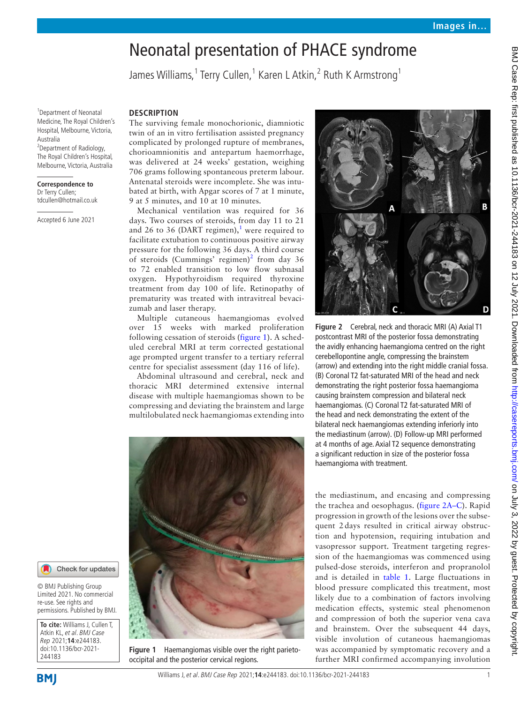# Neonatal presentation of PHACE syndrome

James Williams, <sup>1</sup> Terry Cullen, <sup>1</sup> Karen L Atkin, <sup>2</sup> Ruth K Armstrong <sup>1</sup>

1 Department of Neonatal Medicine, The Royal Children's Hospital, Melbourne, Victoria, Australia

<sup>2</sup>Department of Radiology, The Royal Children's Hospital, Melbourne, Victoria, Australia

#### **Correspondence to**

Dr Terry Cullen; tdcullen@hotmail.co.uk

Accepted 6 June 2021

## **DESCRIPTION**

The surviving female monochorionic, diamniotic twin of an in vitro fertilisation assisted pregnancy complicated by prolonged rupture of membranes, chorioamnionitis and antepartum haemorrhage, was delivered at 24 weeks' gestation, weighing 706 grams following spontaneous preterm labour. Antenatal steroids were incomplete. She was intubated at birth, with Apgar scores of 7 at 1 minute, 9 at 5 minutes, and 10 at 10 minutes.

Mechanical ventilation was required for 36 days. Two courses of steroids, from day 11 to 21 and 26 to 36 (DART regimen), $1$  were required to facilitate extubation to continuous positive airway pressure for the following 36 days. A third course of steroids (Cummings' regimen)<sup>[2](#page-2-1)</sup> from day 36 to 72 enabled transition to low flow subnasal oxygen. Hypothyroidism required thyroxine treatment from day 100 of life. Retinopathy of prematurity was treated with intravitreal bevacizumab and laser therapy.

Multiple cutaneous haemangiomas evolved over 15 weeks with marked proliferation following cessation of steroids ([figure](#page-0-0) 1). A scheduled cerebral MRI at term corrected gestational age prompted urgent transfer to a tertiary referral centre for specialist assessment (day 116 of life).

Abdominal ultrasound and cerebral, neck and thoracic MRI determined extensive internal disease with multiple haemangiomas shown to be compressing and deviating the brainstem and large multilobulated neck haemangiomas extending into



**Figure 1** Haemangiomas visible over the right parietooccipital and the posterior cervical regions.



<span id="page-0-1"></span>**Figure 2** Cerebral, neck and thoracic MRI (A) Axial T1 postcontrast MRI of the posterior fossa demonstrating the avidly enhancing haemangioma centred on the right cerebellopontine angle, compressing the brainstem (arrow) and extending into the right middle cranial fossa. (B) Coronal T2 fat-saturated MRI of the head and neck demonstrating the right posterior fossa haemangioma causing brainstem compression and bilateral neck haemangiomas. (C) Coronal T2 fat-saturated MRI of the head and neck demonstrating the extent of the bilateral neck haemangiomas extending inferiorly into the mediastinum (arrow). (D) Follow-up MRI performed at 4 months of age. Axial T2 sequence demonstrating a significant reduction in size of the posterior fossa haemangioma with treatment.

the mediastinum, and encasing and compressing the trachea and oesophagus. [\(figure](#page-0-1) 2A–C). Rapid progression in growth of the lesions over the subsequent 2 days resulted in critical airway obstruction and hypotension, requiring intubation and vasopressor support. Treatment targeting regression of the haemangiomas was commenced using pulsed-dose steroids, interferon and propranolol and is detailed in [table](#page-1-0) 1. Large fluctuations in blood pressure complicated this treatment, most likely due to a combination of factors involving medication effects, systemic steal phenomenon and compression of both the superior vena cava and brainstem. Over the subsequent 44 days, visible involution of cutaneous haemangiomas was accompanied by symptomatic recovery and a further MRI confirmed accompanying involution

244183

<span id="page-0-0"></span>**To cite:** Williams J, Cullen T, Atkin KL, et al. BMJ Case Rep 2021;**14**:e244183. doi:10.1136/bcr-2021-

© BMJ Publishing Group Limited 2021. No commercial re-use. See rights and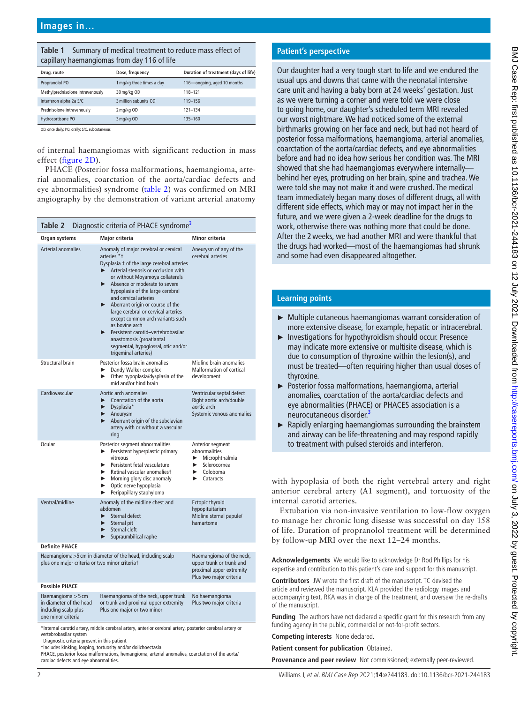#### <span id="page-1-0"></span>**Table 1** Summary of medical treatment to reduce mass effect of capillary haemangiomas from day 116 of life

| Drug, route                      | Dose, frequency           | Duration of treatment (days of life) |
|----------------------------------|---------------------------|--------------------------------------|
| Propranolol PO                   | 1 mg/kg three times a day | 116-ongoing, aged 10 months          |
| Methylprednisolone intravenously | 30 mg/kg OD               | 118-121                              |
| Interferon alpha 2a S/C          | 3 million subunits OD     | 119-156                              |
| Prednisolone intravenously       | 2 mg/kg OD                | $121 - 134$                          |
| Hydrocortisone PO                | 3 mg/kg OD                | 135-160                              |

OD, once daily; PO, orally; S/C, subcutaneous.

of internal haemangiomas with significant reduction in mass effect ([figure](#page-0-1) 2D).

PHACE (Posterior fossa malformations, haemangioma, arterial anomalies, coarctation of the aorta/cardiac defects and eye abnormalities) syndrome ([table](#page-1-1) 2) was confirmed on MRI angiography by the demonstration of variant arterial anatomy

<span id="page-1-1"></span>

| Diagnostic criteria of PHACE syndrome <sup>3</sup><br>Table 2                                                                                                                                                                                                                                        |                                                                                                                                                                                                                                                                                                                                                                                                                                                                                                                                                   |                                                                                                               |  |
|------------------------------------------------------------------------------------------------------------------------------------------------------------------------------------------------------------------------------------------------------------------------------------------------------|---------------------------------------------------------------------------------------------------------------------------------------------------------------------------------------------------------------------------------------------------------------------------------------------------------------------------------------------------------------------------------------------------------------------------------------------------------------------------------------------------------------------------------------------------|---------------------------------------------------------------------------------------------------------------|--|
| Organ systems                                                                                                                                                                                                                                                                                        | Major criteria                                                                                                                                                                                                                                                                                                                                                                                                                                                                                                                                    | Minor criteria                                                                                                |  |
| Arterial anomalies                                                                                                                                                                                                                                                                                   | Anomaly of major cerebral or cervical<br>arteries *1<br>Dysplasia ‡ of the large cerebral arteries<br>Arterial stenosis or occlusion with<br>or without Moyamoya collaterals<br>Absence or moderate to severe<br>hypoplasia of the large cerebral<br>and cervical arteries<br>Aberrant origin or course of the<br>▶<br>large cerebral or cervical arteries<br>except common arch variants such<br>as bovine arch<br>Persistent carotid-vertebrobasilar<br>anastomosis (proatlantal<br>segmental, hypoglossal, otic and/or<br>trigeminal arteries) | Aneurysm of any of the<br>cerebral arteries                                                                   |  |
| Structural brain                                                                                                                                                                                                                                                                                     | Posterior fossa brain anomalies<br>Dandy-Walker complex<br>▶<br>Other hypoplasia/dysplasia of the<br>ь<br>mid and/or hind brain                                                                                                                                                                                                                                                                                                                                                                                                                   | Midline brain anomalies<br><b>Malformation of cortical</b><br>development                                     |  |
| Cardiovascular                                                                                                                                                                                                                                                                                       | Aortic arch anomalies<br>Coarctation of the aorta<br>Dysplasia*<br>►<br>▶<br>Aneurysm<br>Aberrant origin of the subclavian<br>artery with or without a vascular<br>ring                                                                                                                                                                                                                                                                                                                                                                           | Ventricular septal defect<br>Right aortic arch/double<br>aortic arch<br>Systemic venous anomalies             |  |
| Ocular                                                                                                                                                                                                                                                                                               | Posterior segment abnormalities<br>Persistent hyperplastic primary<br>▶<br>vitreous<br>Persistent fetal vasculature<br>ь<br>Retinal vascular anomaliest<br>▶<br>Morning glory disc anomaly<br>▶.<br>Optic nerve hypoplasia<br>▶<br>Peripapillary staphyloma                                                                                                                                                                                                                                                                                       | Anterior segment<br>abnormalities<br>Microphthalmia<br>Þ.<br>Sclerocornea<br>▶<br>Coloboma<br>Cataracts<br>▶. |  |
| Ventral/midline                                                                                                                                                                                                                                                                                      | Anomaly of the midline chest and<br>abdomen<br>Sternal defect<br>ь<br>Sternal pit<br>▶<br>Sternal cleft<br>►<br>Supraumbilical raphe<br>▶                                                                                                                                                                                                                                                                                                                                                                                                         | Ectopic thyroid<br>hypopituitarism<br>Midline sternal papule/<br>hamartoma                                    |  |
| <b>Definite PHACE</b>                                                                                                                                                                                                                                                                                |                                                                                                                                                                                                                                                                                                                                                                                                                                                                                                                                                   |                                                                                                               |  |
| Haemangioma > 5 cm in diameter of the head, including scalp<br>plus one major criteria or two minor criteriat                                                                                                                                                                                        |                                                                                                                                                                                                                                                                                                                                                                                                                                                                                                                                                   | Haemangioma of the neck,<br>upper trunk or trunk and<br>proximal upper extremity<br>Plus two major criteria   |  |
| <b>Possible PHACE</b>                                                                                                                                                                                                                                                                                |                                                                                                                                                                                                                                                                                                                                                                                                                                                                                                                                                   |                                                                                                               |  |
| Haemangioma $>$ 5 cm<br>Haemangioma of the neck, upper trunk<br>in diameter of the head<br>or trunk and proximal upper extremity<br>Plus one major or two minor<br>including scalp plus<br>one minor criteria<br>ماس ومعطوم الموطوعية وجاودهما والمستحر الموطوعة والملائيس ومعهوم ليتعمونها ويستعفوا |                                                                                                                                                                                                                                                                                                                                                                                                                                                                                                                                                   | No haemangioma<br>Plus two major criteria<br>ومروسهم المواجدة وحامدهم                                         |  |

\*Internal carotid artery, middle cerebral artery, anterior cerebral artery, posterior cerebral artery or vertebrobasilar system

†Diagnostic criteria present in this patient

‡Includes kinking, looping, tortuosity and/or dolichoectasia

PHACE, posterior fossa malformations, hemangioma, arterial anomalies, coarctation of the aorta/ cardiac defects and eye abnormalities.

# **Patient's perspective**

Our daughter had a very tough start to life and we endured the usual ups and downs that came with the neonatal intensive care unit and having a baby born at 24 weeks' gestation. Just as we were turning a corner and were told we were close to going home, our daughter's scheduled term MRI revealed our worst nightmare. We had noticed some of the external birthmarks growing on her face and neck, but had not heard of posterior fossa malformations, haemangioma, arterial anomalies, coarctation of the aorta/cardiac defects, and eye abnormalities before and had no idea how serious her condition was. The MRI showed that she had haemangiomas everywhere internally behind her eyes, protruding on her brain, spine and trachea. We were told she may not make it and were crushed. The medical team immediately began many doses of different drugs, all with different side effects, which may or may not impact her in the future, and we were given a 2-week deadline for the drugs to work, otherwise there was nothing more that could be done. After the 2weeks, we had another MRI and were thankful that the drugs had worked—most of the haemangiomas had shrunk and some had even disappeared altogether.

# **Learning points**

- ► Multiple cutaneous haemangiomas warrant consideration of more extensive disease, for example, hepatic or intracerebral.
- ► Investigations for hypothyroidism should occur. Presence may indicate more extensive or multisite disease, which is due to consumption of thyroxine within the lesion(s), and must be treated—often requiring higher than usual doses of thyroxine.
- ► Posterior fossa malformations, haemangioma, arterial anomalies, coarctation of the aorta/cardiac defects and eye abnormalities (PHACE) or PHACES association is a neurocutaneous disorder.<sup>3</sup>
- $\blacktriangleright$  Rapidly enlarging haemangiomas surrounding the brainstem and airway can be life-threatening and may respond rapidly to treatment with pulsed steroids and interferon.

with hypoplasia of both the right vertebral artery and right anterior cerebral artery (A1 segment), and tortuosity of the internal carotid arteries.

Extubation via non-invasive ventilation to low-flow oxygen to manage her chronic lung disease was successful on day 158 of life. Duration of propranolol treatment will be determined by follow-up MRI over the next 12–24 months.

**Acknowledgements** We would like to acknowledge Dr Rod Phillips for his expertise and contribution to this patient's care and support for this manuscript.

**Contributors** JW wrote the first draft of the manuscript. TC devised the article and reviewed the manuscript. KLA provided the radiology images and accompanying text. RKA was in charge of the treatment, and oversaw the re-drafts of the manuscript.

**Funding** The authors have not declared a specific grant for this research from any funding agency in the public, commercial or not-for-profit sectors.

**Competing interests** None declared.

**Patient consent for publication** Obtained.

**Provenance and peer review** Not commissioned; externally peer-reviewed.